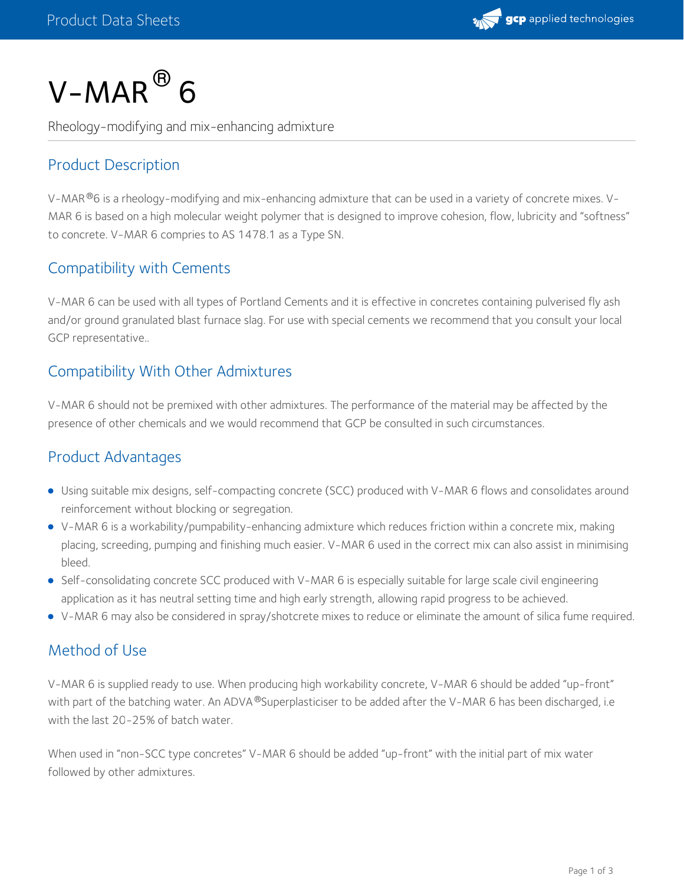

# $V\text{-}MAR\mathbin{\overline{\otimes}} 6$

Rheology-modifying and mix-enhancing admixture

# Product Description

V-MAR  $^{\circledR}$ 6 is a rheology-modifying and mix-enhancing admixture that can be used in a variety of concrete mixes. V-MAR 6 is based on a high molecular weight polymer that is designed to improve cohesion, flow, lubricity and "softness" to concrete. V-MAR 6 compries to AS 1478.1 as a Type SN.

## Compatibility with Cements

V-MAR 6 can be used with all types of Portland Cements and it is effective in concretes containing pulverised fly ash and/or ground granulated blast furnace slag. For use with special cements we recommend that you consult your local GCP representative..

### Compatibility With Other Admixtures

V-MAR 6 should not be premixed with other admixtures. The performance of the material may be affected by the presence of other chemicals and we would recommend that GCP be consulted in such circumstances.

### Product Advantages

- Using suitable mix designs, self-compacting concrete (SCC) produced with V-MAR 6 flows and consolidates around reinforcement without blocking or segregation.
- V-MAR 6 is a workability/pumpability-enhancing admixture which reduces friction within a concrete mix, making placing, screeding, pumping and finishing much easier. V-MAR 6 used in the correct mix can also assist in minimising bleed.
- Self-consolidating concrete SCC produced with V-MAR 6 is especially suitable for large scale civil engineering application as it has neutral setting time and high early strength, allowing rapid progress to be achieved.
- V-MAR 6 may also be considered in spray/shotcrete mixes to reduce or eliminate the amount of silica fume required.

# Method of Use

V-MAR 6 is supplied ready to use. When producing high workability concrete, V-MAR 6 should be added "up-front" with part of the batching water. An ADVA  $^\circ$ Superplasticiser to be added after the V-MAR 6 has been discharged, i.e with the last 20-25% of batch water.

When used in "non-SCC type concretes" V-MAR 6 should be added "up-front" with the initial part of mix water followed by other admixtures.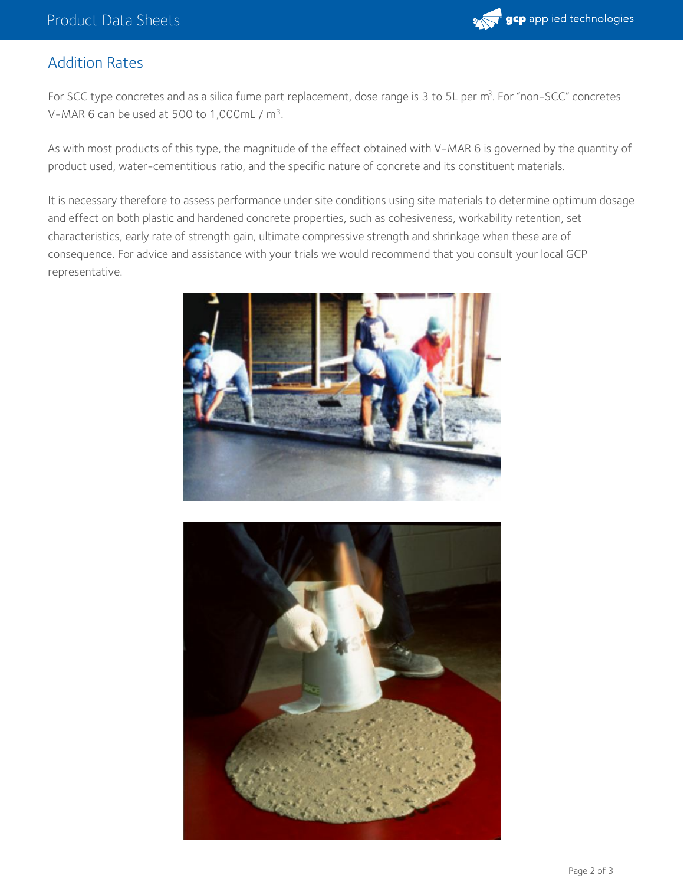

### Addition Rates

For SCC type concretes and as a silica fume part replacement, dose range is 3 to 5L per m<sup>3</sup>. For "non-SCC" concretes V-MAR 6 can be used at 500 to 1,000mL /  $m<sup>3</sup>$ .

As with most products of this type, the magnitude of the effect obtained with V-MAR 6 is governed by the quantity of product used, water-cementitious ratio, and the specific nature of concrete and its constituent materials.

It is necessary therefore to assess performance under site conditions using site materials to determine optimum dosage and effect on both plastic and hardened concrete properties, such as cohesiveness, workability retention, set characteristics, early rate of strength gain, ultimate compressive strength and shrinkage when these are of consequence. For advice and assistance with your trials we would recommend that you consult your local GCP representative.